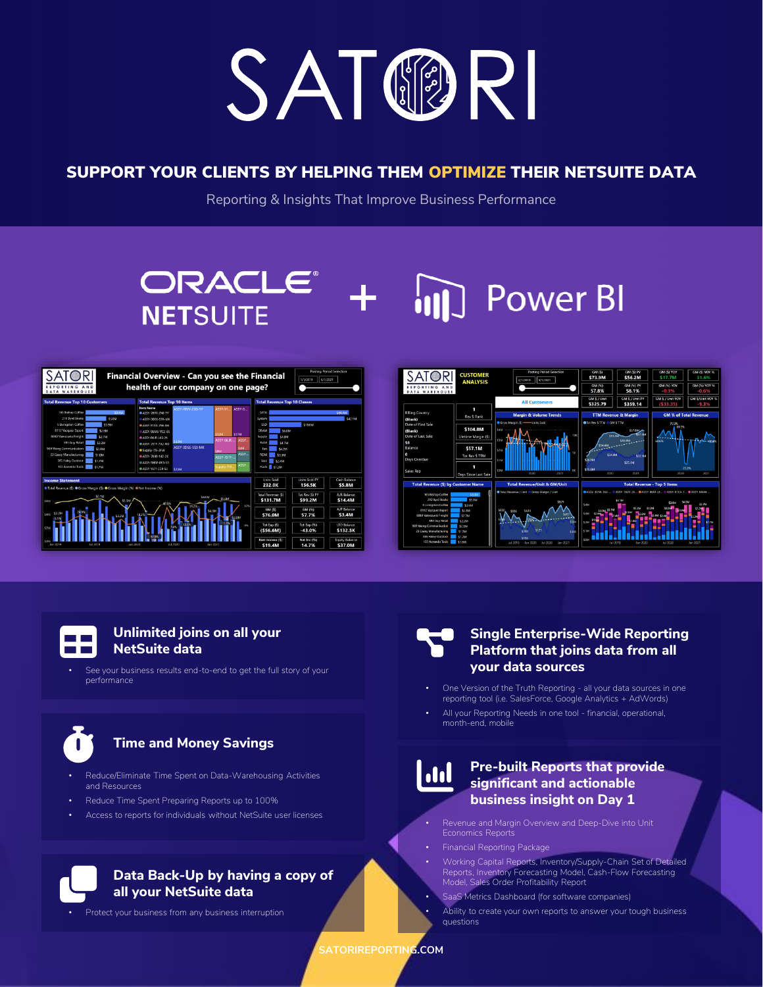

## SUPPORT YOUR CLIENTS BY HELPING THEM OPTIMIZE THEIR NETSUITE DATA

Reporting & Insights That Improve Business Performance

## **ORACLE® Power BI NETSUITE**





#### **Unlimited joins on all your NetSuite data The Common**

See your business results end-to-end to get the full story of your performance



## **Time and Money Savings**

- Reduce/Eliminate Time Spent on Data-Warehousing Activities and Resources
- Reduce Time Spent Preparing Reports up to 100%
- Access to reports for individuals without NetSuite user licenses



## **Data Back-Up by having a copy of all your NetSuite data**

Protect your business from any business interruption



### **Single Enterprise-Wide Reporting Platform that joins data from all your data sources**

- One Version of the Truth Reporting all your data sources in one reporting tool (i.e. SalesForce, Google Analytics + AdWords)
- All your Reporting Needs in one tool financial, operational, month-end, mobile

# **I**

## **Pre-built Reports that provide significant and actionable business insight on Day 1**

- Revenue and Margin Overview and Deep-Dive into Unit Economics Reports
- Financial Reporting Package
	- Working Capital Reports, Inventory/Supply-Chain Set of Detailed Reports, Inventory Forecasting Model, Cash-Flow Forecasting Model, Sales Order Profitability Report
- SaaS Metrics Dashboard (for software companies)
- Ability to create your own reports to answer your tough business questions

**SATORIREPORTING.COM**